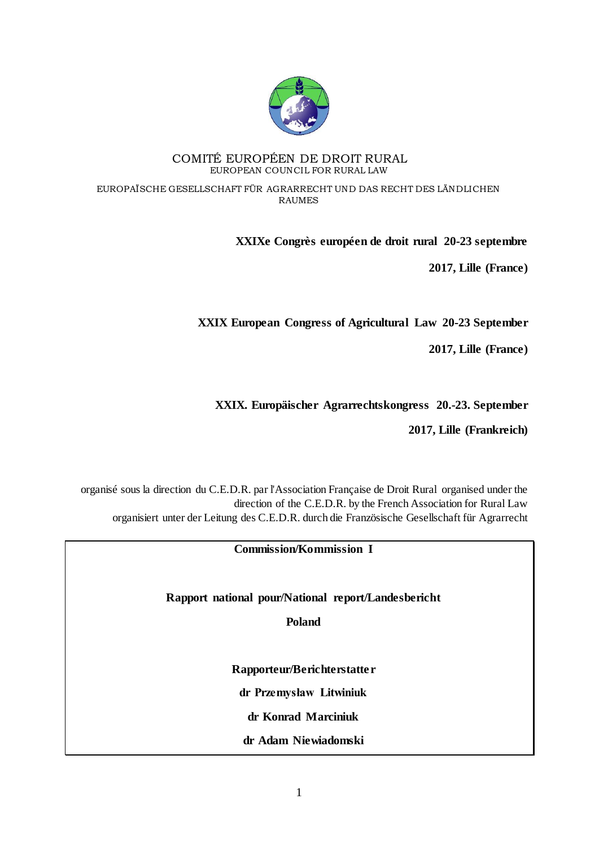

#### COMITÉ EUROPÉEN DE DROIT RURAL EUROPEAN COUNCIL FOR RURAL LAW

EUROPAÏSCHE GESELLSCHAFT FÜR AGRARRECHT UND DAS RECHT DES LÄNDLICHEN RAUMES

## **XXIXe Congrès européen de droit rural 20-23 septembre**

**2017, Lille (France)**

**XXIX European Congress of Agricultural Law 20-23 September**

**2017, Lille (France)**

## **XXIX. Europäischer Agrarrechtskongress 20.-23. September**

**2017, Lille (Frankreich)**

organisé sous la direction du C.E.D.R. par l'Association Française de Droit Rural organised under the direction of the C.E.D.R. by the French Association for Rural Law organisiert unter der Leitung des C.E.D.R. durch die Französische Gesellschaft für Agrarrecht

### **Commission/Kommission I**

**Rapport national pour/National report/Landesbericht** 

**Poland**

**Rapporteur/Berichterstatter**

**dr Przemysław Litwiniuk**

**dr Konrad Marciniuk**

**dr Adam Niewiadomski**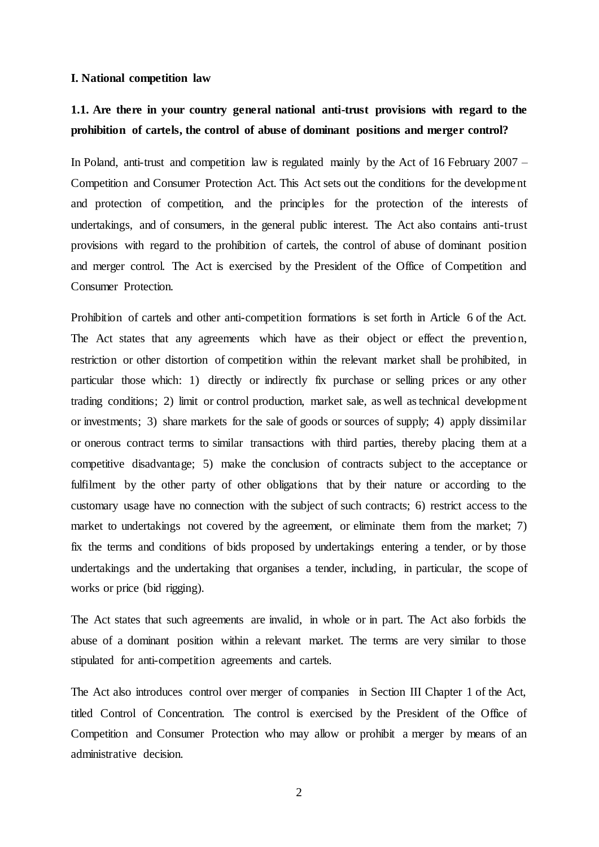#### **I. National competition law**

## **1.1. Are there in your country general national anti-trust provisions with regard to the prohibition of cartels, the control of abuse of dominant positions and merger control?**

In Poland, anti-trust and competition law is regulated mainly by the Act of 16 February 2007 – Competition and Consumer Protection Act. This Act sets out the conditions for the development and protection of competition, and the principles for the protection of the interests of undertakings, and of consumers, in the general public interest. The Act also contains anti-trust provisions with regard to the prohibition of cartels, the control of abuse of dominant position and merger control. The Act is exercised by the President of the Office of Competition and Consumer Protection.

Prohibition of cartels and other anti-competition formations is set forth in Article 6 of the Act. The Act states that any agreements which have as their object or effect the prevention, restriction or other distortion of competition within the relevant market shall be prohibited, in particular those which: 1) directly or indirectly fix purchase or selling prices or any other trading conditions; 2) limit or control production, market sale, as well as technical development or investments; 3) share markets for the sale of goods or sources of supply; 4) apply dissimilar or onerous contract terms to similar transactions with third parties, thereby placing them at a competitive disadvantage; 5) make the conclusion of contracts subject to the acceptance or fulfilment by the other party of other obligations that by their nature or according to the customary usage have no connection with the subject of such contracts; 6) restrict access to the market to undertakings not covered by the agreement, or eliminate them from the market; 7) fix the terms and conditions of bids proposed by undertakings entering a tender, or by those undertakings and the undertaking that organises a tender, including, in particular, the scope of works or price (bid rigging).

The Act states that such agreements are invalid, in whole or in part. The Act also forbids the abuse of a dominant position within a relevant market. The terms are very similar to those stipulated for anti-competition agreements and cartels.

The Act also introduces control over merger of companies in Section III Chapter 1 of the Act, titled Control of Concentration. The control is exercised by the President of the Office of Competition and Consumer Protection who may allow or prohibit a merger by means of an administrative decision.

2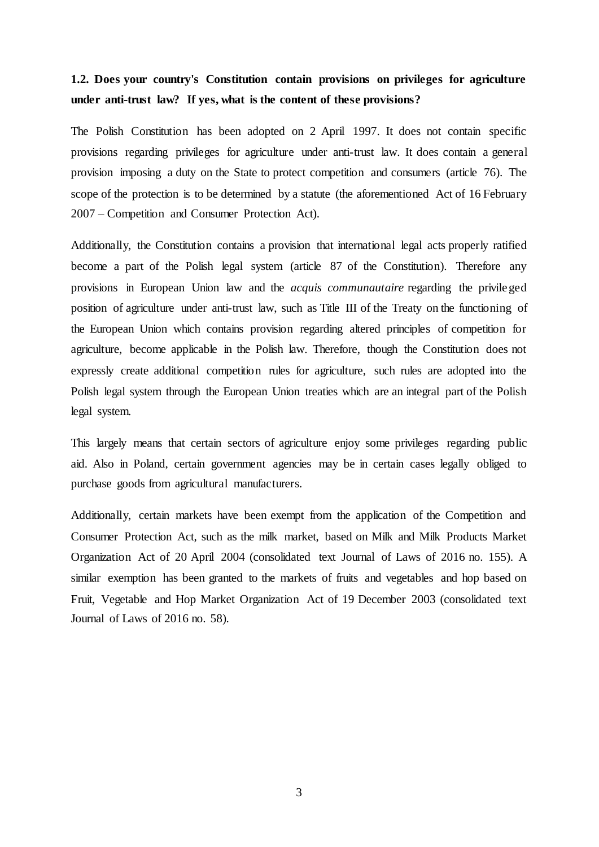## **1.2. Does your country's Constitution contain provisions on privileges for agriculture under anti-trust law? If yes, what is the content of these provisions?**

The Polish Constitution has been adopted on 2 April 1997. It does not contain specific provisions regarding privileges for agriculture under anti-trust law. It does contain a general provision imposing a duty on the State to protect competition and consumers (article 76). The scope of the protection is to be determined by a statute (the aforementioned Act of 16 February 2007 – Competition and Consumer Protection Act).

Additionally, the Constitution contains a provision that international legal acts properly ratified become a part of the Polish legal system (article 87 of the Constitution). Therefore any provisions in European Union law and the *acquis communautaire* regarding the privileged position of agriculture under anti-trust law, such as Title III of the Treaty on the functioning of the European Union which contains provision regarding altered principles of competition for agriculture, become applicable in the Polish law. Therefore, though the Constitution does not expressly create additional competition rules for agriculture, such rules are adopted into the Polish legal system through the European Union treaties which are an integral part of the Polish legal system.

This largely means that certain sectors of agriculture enjoy some privileges regarding public aid. Also in Poland, certain government agencies may be in certain cases legally obliged to purchase goods from agricultural manufacturers.

Additionally, certain markets have been exempt from the application of the Competition and Consumer Protection Act, such as the milk market, based on Milk and Milk Products Market Organization Act of 20 April 2004 (consolidated text Journal of Laws of 2016 no. 155). A similar exemption has been granted to the markets of fruits and vegetables and hop based on Fruit, Vegetable and Hop Market Organization Act of 19 December 2003 (consolidated text Journal of Laws of 2016 no. 58).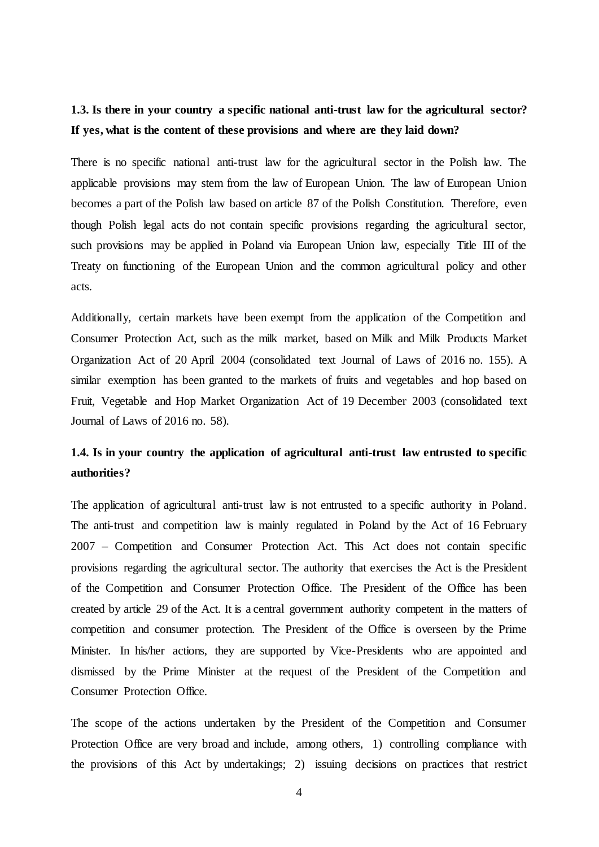## **1.3. Is there in your country a specific national anti-trust law for the agricultural sector? If yes, what is the content of these provisions and where are they laid down?**

There is no specific national anti-trust law for the agricultural sector in the Polish law. The applicable provisions may stem from the law of European Union. The law of European Union becomes a part of the Polish law based on article 87 of the Polish Constitution. Therefore, even though Polish legal acts do not contain specific provisions regarding the agricultural sector, such provisions may be applied in Poland via European Union law, especially Title III of the Treaty on functioning of the European Union and the common agricultural policy and other acts.

Additionally, certain markets have been exempt from the application of the Competition and Consumer Protection Act, such as the milk market, based on Milk and Milk Products Market Organization Act of 20 April 2004 (consolidated text Journal of Laws of 2016 no. 155). A similar exemption has been granted to the markets of fruits and vegetables and hop based on Fruit, Vegetable and Hop Market Organization Act of 19 December 2003 (consolidated text Journal of Laws of 2016 no. 58).

## **1.4. Is in your country the application of agricultural anti-trust law entrusted to specific authorities?**

The application of agricultural anti-trust law is not entrusted to a specific authority in Poland. The anti-trust and competition law is mainly regulated in Poland by the Act of 16 February 2007 – Competition and Consumer Protection Act. This Act does not contain specific provisions regarding the agricultural sector. The authority that exercises the Act is the President of the Competition and Consumer Protection Office. The President of the Office has been created by article 29 of the Act. It is a central government authority competent in the matters of competition and consumer protection. The President of the Office is overseen by the Prime Minister. In his/her actions, they are supported by Vice-Presidents who are appointed and dismissed by the Prime Minister at the request of the President of the Competition and Consumer Protection Office.

The scope of the actions undertaken by the President of the Competition and Consumer Protection Office are very broad and include, among others, 1) controlling compliance with the provisions of this Act by undertakings; 2) issuing decisions on practices that restrict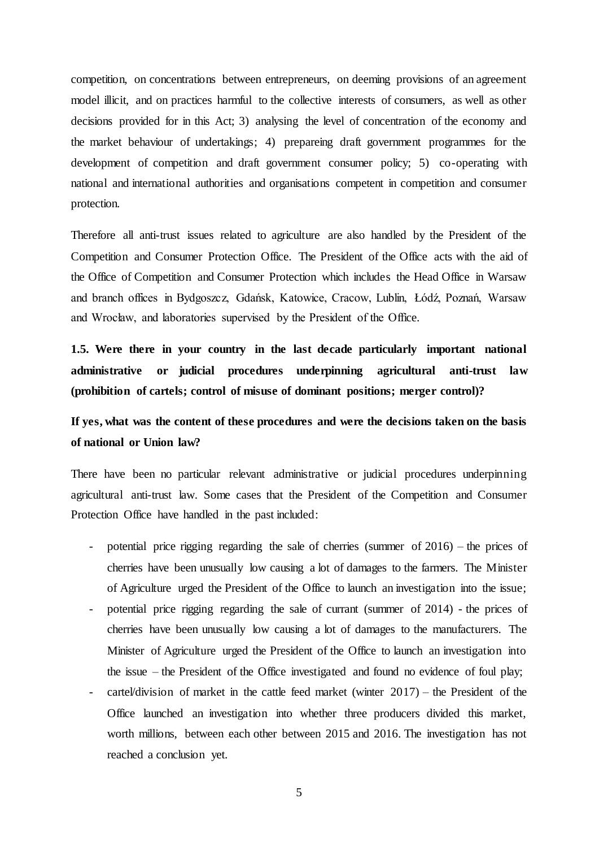competition, on concentrations between entrepreneurs, on deeming provisions of an agreement model illicit, and on practices harmful to the collective interests of consumers, as well as other decisions provided for in this Act; 3) analysing the level of concentration of the economy and the market behaviour of undertakings; 4) prepareing draft government programmes for the development of competition and draft government consumer policy; 5) co-operating with national and international authorities and organisations competent in competition and consumer protection.

Therefore all anti-trust issues related to agriculture are also handled by the President of the Competition and Consumer Protection Office. The President of the Office acts with the aid of the Office of Competition and Consumer Protection which includes the Head Office in Warsaw and branch offices in Bydgoszcz, Gdańsk, Katowice, Cracow, Lublin, Łódź, Poznań, Warsaw and Wrocław, and laboratories supervised by the President of the Office.

**1.5. Were there in your country in the last decade particularly important national administrative or judicial procedures underpinning agricultural anti-trust law (prohibition of cartels; control of misuse of dominant positions; merger control)?**

## **If yes, what was the content of these procedures and were the decisions taken on the basis of national or Union law?**

There have been no particular relevant administrative or judicial procedures underpinning agricultural anti-trust law. Some cases that the President of the Competition and Consumer Protection Office have handled in the past included:

- potential price rigging regarding the sale of cherries (summer of  $2016$ ) the prices of cherries have been unusually low causing a lot of damages to the farmers. The Minister of Agriculture urged the President of the Office to launch an investigation into the issue;
- potential price rigging regarding the sale of currant (summer of 2014) the prices of cherries have been unusually low causing a lot of damages to the manufacturers. The Minister of Agriculture urged the President of the Office to launch an investigation into the issue – the President of the Office investigated and found no evidence of foul play;
- cartel/division of market in the cattle feed market (winter  $2017$ ) the President of the Office launched an investigation into whether three producers divided this market, worth millions, between each other between 2015 and 2016. The investigation has not reached a conclusion yet.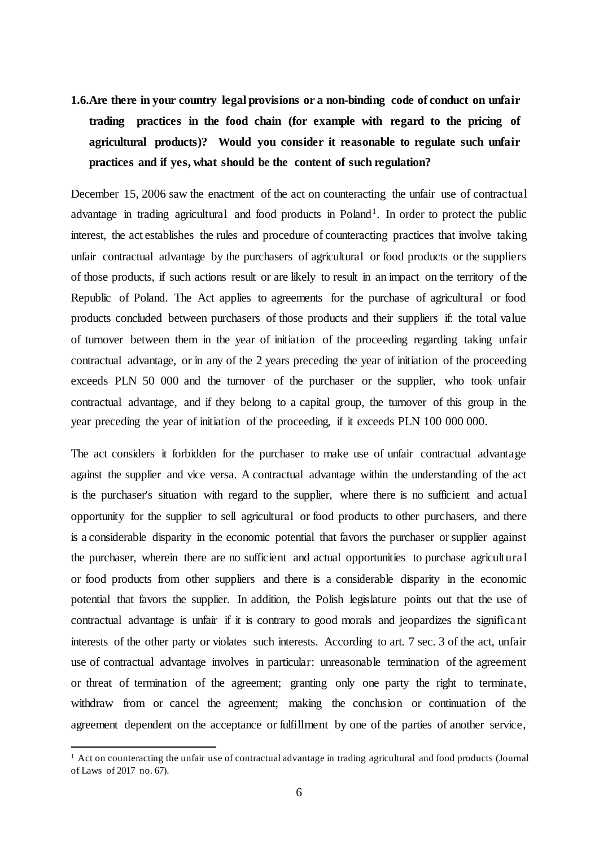**1.6.Are there in your country legal provisions or a non-binding code of conduct on unfair trading practices in the food chain (for example with regard to the pricing of agricultural products)? Would you consider it reasonable to regulate such unfair practices and if yes, what should be the content of such regulation?**

December 15, 2006 saw the enactment of the act on counteracting the unfair use of contractual advantage in trading agricultural and food products in Poland<sup>1</sup>. In order to protect the public interest, the act establishes the rules and procedure of counteracting practices that involve taking unfair contractual advantage by the purchasers of agricultural or food products or the suppliers of those products, if such actions result or are likely to result in an impact on the territory of the Republic of Poland. The Act applies to agreements for the purchase of agricultural or food products concluded between purchasers of those products and their suppliers if: the total value of turnover between them in the year of initiation of the proceeding regarding taking unfair contractual advantage, or in any of the 2 years preceding the year of initiation of the proceeding exceeds PLN 50 000 and the turnover of the purchaser or the supplier, who took unfair contractual advantage, and if they belong to a capital group, the turnover of this group in the year preceding the year of initiation of the proceeding, if it exceeds PLN 100 000 000.

The act considers it forbidden for the purchaser to make use of unfair contractual advantage against the supplier and vice versa. A contractual advantage within the understanding of the act is the purchaser's situation with regard to the supplier, where there is no sufficient and actual opportunity for the supplier to sell agricultural or food products to other purchasers, and there is a considerable disparity in the economic potential that favors the purchaser or supplier against the purchaser, wherein there are no sufficient and actual opportunities to purchase agricultural or food products from other suppliers and there is a considerable disparity in the economic potential that favors the supplier. In addition, the Polish legislature points out that the use of contractual advantage is unfair if it is contrary to good morals and jeopardizes the significant interests of the other party or violates such interests. According to art. 7 sec. 3 of the act, unfair use of contractual advantage involves in particular: unreasonable termination of the agreement or threat of termination of the agreement; granting only one party the right to terminate, withdraw from or cancel the agreement; making the conclusion or continuation of the agreement dependent on the acceptance or fulfillment by one of the parties of another service,

 $\overline{a}$ 

<sup>&</sup>lt;sup>1</sup> Act on counteracting the unfair use of contractual advantage in trading agricultural and food products (Journal of Laws of 2017 no. 67).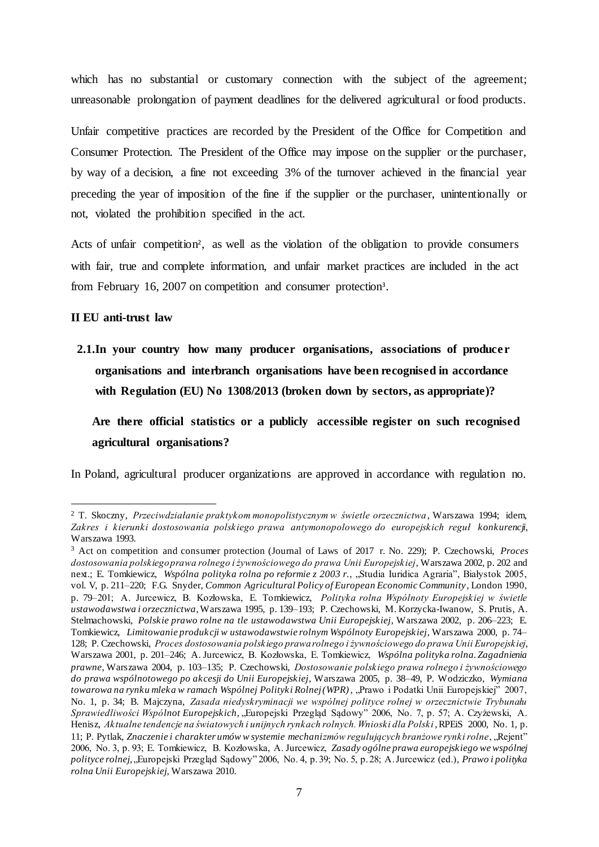which has no substantial or customary connection with the subject of the agreement; unreasonable prolongation of payment deadlines for the delivered agricultural or food products.

Unfair competitive practices are recorded by the President of the Office for Competition and Consumer Protection. The President of the Office may impose on the supplier or the purchaser, by way of a decision, a fine not exceeding 3% of the turnover achieved in the financial year preceding the year of imposition of the fine if the supplier or the purchaser, unintentionally or not, violated the prohibition specified in the act.

Acts of unfair competition<sup>2</sup>, as well as the violation of the obligation to provide consumers with fair, true and complete information, and unfair market practices are included in the act from February 16, 2007 on competition and consumer protection<sup>3</sup>.

### **II EU anti-trust law**

 $\overline{a}$ 

**2.1.In your country how many producer organisations, associations of producer organisations and interbranch organisations have been recognised in accordance with Regulation (EU) No 1308/2013 (broken down by sectors, as appropriate)?**

**Are there official statistics or a publicly accessible register on such recognised agricultural organisations?**

In Poland, agricultural producer organizations are approved in accordance with regulation no.

<sup>2</sup> T. Skoczny, *Przeciwdziałanie praktykom monopolistycznym w świetle orzecznictwa*, Warszawa 1994; idem, *Zakres i kierunki dostosowania polskiego prawa antymonopolowego do europejskich reguł konkurencji*, Warszawa 1993.

<sup>3</sup> Act on competition and consumer protection (Journal of Laws of 2017 r. No. 229); P. Czechowski, *Proces dostosowania polskiego prawa rolnego i żywnościowego do prawa Unii Europejskiej*, Warszawa 2002, p. 202 and next.; E. Tomkiewicz, *Wspólna polityka rolna po reformie z 2003 r.*, "Studia Iuridica Agraria", Białystok 2005, vol. V, p. 211–220; F.G. Snyder, *Common Agricultural Policy of European Economic Community*, London 1990, p. 79–201; A. Jurcewicz, B. Kozłowska, E. Tomkiewicz, *Polityka rolna Wspólnoty Europejskiej w świetle ustawodawstwa i orzecznictwa*,Warszawa 1995, p. 139–193; P. Czechowski, M. Korzycka-Iwanow, S. Prutis, A. Stelmachowski, *Polskie prawo rolne na tle ustawodawstwa Unii Europejskiej*, Warszawa 2002, p. 206–223; E. Tomkiewicz, *Limitowanie produkcji w ustawodawstwie rolnym Wspólnoty Europejskiej*, Warszawa 2000, p. 74– 128; P. Czechowski, *Proces dostosowania polskiego prawa rolnego i żywnościowego do prawa Unii Europejskiej*, Warszawa 2001, p. 201–246; A. Jurcewicz, B. Kozłowska, E. Tomkiewicz, *Wspólna polityka rolna. Zagadnienia prawne*, Warszawa 2004, p. 103–135; P. Czechowski, *Dostosowanie polskiego prawa rolnego i żywnościowego do prawa wspólnotowego po akcesji do Unii Europejskiej*, Warszawa 2005, p. 38–49, P. Wodziczko, *Wymiana towarowa na rynku mleka w ramach Wspólnej Polityki Rolnej (WPR)*, "Prawo i Podatki Unii Europejskiej" 2007, No. 1, p. 34; B. Majczyna, *Zasada niedyskryminacji we wspólnej polityce rolnej w orzecznictwie Trybunału Sprawiedliwości Wspólnot Europejskich*, "Europejski Przegląd Sądowy" 2006, No. 7, p. 57; A. Czyżewski, A. Henisz, *Aktualne tendencje na światowych i unijnych rynkach rolnych. Wnioski dla Polski*, RPEiS 2000, No. 1, p. 11; P. Pytlak, *Znaczenie i charakter umów w systemie mechanizmów regulujących branżowe rynki rolne*, "Rejent" 2006, No. 3, p. 93; E. Tomkiewicz, B. Kozłowska, A. Jurcewicz, *Zasady ogólne prawa europejskiego we wspólnej polityce rolnej*, "Europejski Przegląd Sądowy" 2006, No. 4, p. 39; No. 5, p. 28; A. Jurcewicz (ed.), *Prawo i polityka rolna Unii Europejskiej*, Warszawa 2010.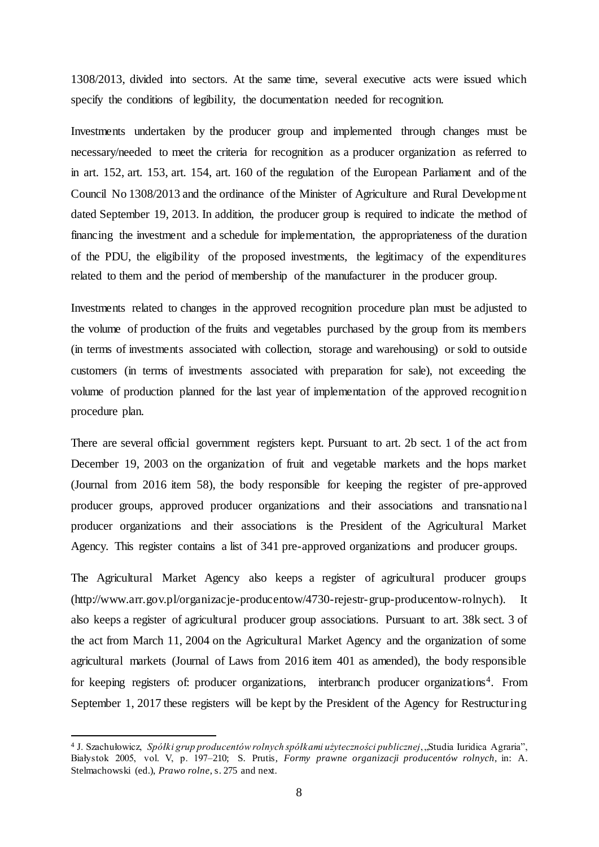1308/2013, divided into sectors. At the same time, several executive acts were issued which specify the conditions of legibility, the documentation needed for recognition.

Investments undertaken by the producer group and implemented through changes must be necessary/needed to meet the criteria for recognition as a producer organization as referred to in art. 152, art. 153, art. 154, art. 160 of the regulation of the European Parliament and of the Council No 1308/2013 and the ordinance of the Minister of Agriculture and Rural Development dated September 19, 2013. In addition, the producer group is required to indicate the method of financing the investment and a schedule for implementation, the appropriateness of the duration of the PDU, the eligibility of the proposed investments, the legitimacy of the expenditures related to them and the period of membership of the manufacturer in the producer group.

Investments related to changes in the approved recognition procedure plan must be adjusted to the volume of production of the fruits and vegetables purchased by the group from its members (in terms of investments associated with collection, storage and warehousing) or sold to outside customers (in terms of investments associated with preparation for sale), not exceeding the volume of production planned for the last year of implementation of the approved recognition procedure plan.

There are several official government registers kept. Pursuant to art. 2b sect. 1 of the act from December 19, 2003 on the organization of fruit and vegetable markets and the hops market (Journal from 2016 item 58), the body responsible for keeping the register of pre-approved producer groups, approved producer organizations and their associations and transnational producer organizations and their associations is the President of the Agricultural Market Agency. This register contains a list of 341 pre-approved organizations and producer groups.

The Agricultural Market Agency also keeps a register of agricultural producer groups (http://www.arr.gov.pl/organizacje-producentow/4730-rejestr-grup-producentow-rolnych). It also keeps a register of agricultural producer group associations. Pursuant to art. 38k sect. 3 of the act from March 11, 2004 on the Agricultural Market Agency and the organization of some agricultural markets (Journal of Laws from 2016 item 401 as amended), the body responsible for keeping registers of: producer organizations, interbranch producer organizations<sup>4</sup>. From September 1, 2017 these registers will be kept by the President of the Agency for Restructuring

 $\overline{a}$ 

<sup>&</sup>lt;sup>4</sup> J. Szachułowicz, *Spółki grup producentów rolnych spółkami użyteczności publicznej, "Studia Iuridica Agraria",* Białystok 2005, vol. V, p. 197–210; S. Prutis, *Formy prawne organizacji producentów rolnych*, in: A. Stelmachowski (ed.), *Prawo rolne*, s. 275 and next.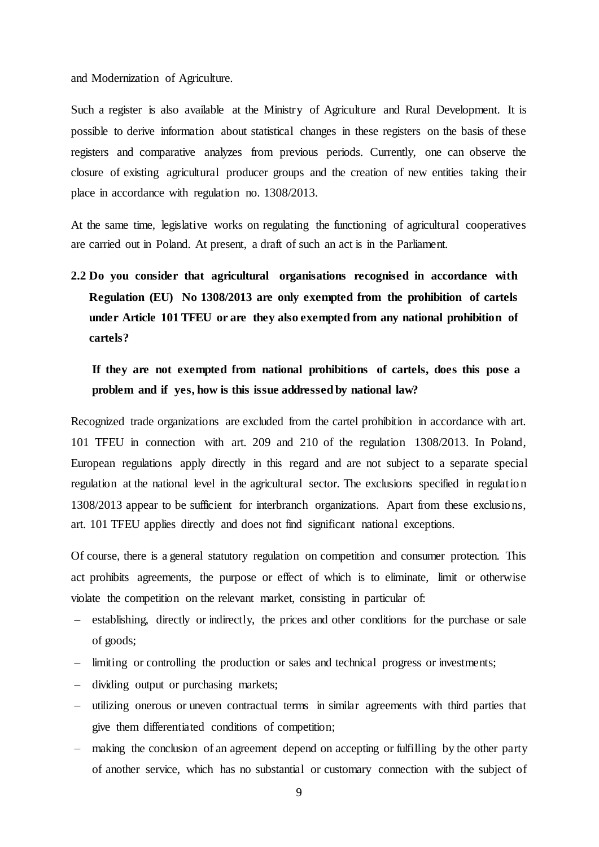and Modernization of Agriculture.

Such a register is also available at the Ministry of Agriculture and Rural Development. It is possible to derive information about statistical changes in these registers on the basis of these registers and comparative analyzes from previous periods. Currently, one can observe the closure of existing agricultural producer groups and the creation of new entities taking their place in accordance with regulation no. 1308/2013.

At the same time, legislative works on regulating the functioning of agricultural cooperatives are carried out in Poland. At present, a draft of such an act is in the Parliament.

**2.2 Do you consider that agricultural organisations recognised in accordance with Regulation (EU) No 1308/2013 are only exempted from the prohibition of cartels under Article 101 TFEU or are they also exempted from any national prohibition of cartels?**

**If they are not exempted from national prohibitions of cartels, does this pose a problem and if yes, how is this issue addressed by national law?**

Recognized trade organizations are excluded from the cartel prohibition in accordance with art. 101 TFEU in connection with art. 209 and 210 of the regulation 1308/2013. In Poland, European regulations apply directly in this regard and are not subject to a separate special regulation at the national level in the agricultural sector. The exclusions specified in regulation 1308/2013 appear to be sufficient for interbranch organizations. Apart from these exclusions, art. 101 TFEU applies directly and does not find significant national exceptions.

Of course, there is a general statutory regulation on competition and consumer protection. This act prohibits agreements, the purpose or effect of which is to eliminate, limit or otherwise violate the competition on the relevant market, consisting in particular of:

- establishing, directly or indirectly, the prices and other conditions for the purchase or sale of goods;
- limiting or controlling the production or sales and technical progress or investments;
- dividing output or purchasing markets;
- utilizing onerous or uneven contractual terms in similar agreements with third parties that give them differentiated conditions of competition;
- making the conclusion of an agreement depend on accepting or fulfilling by the other party of another service, which has no substantial or customary connection with the subject of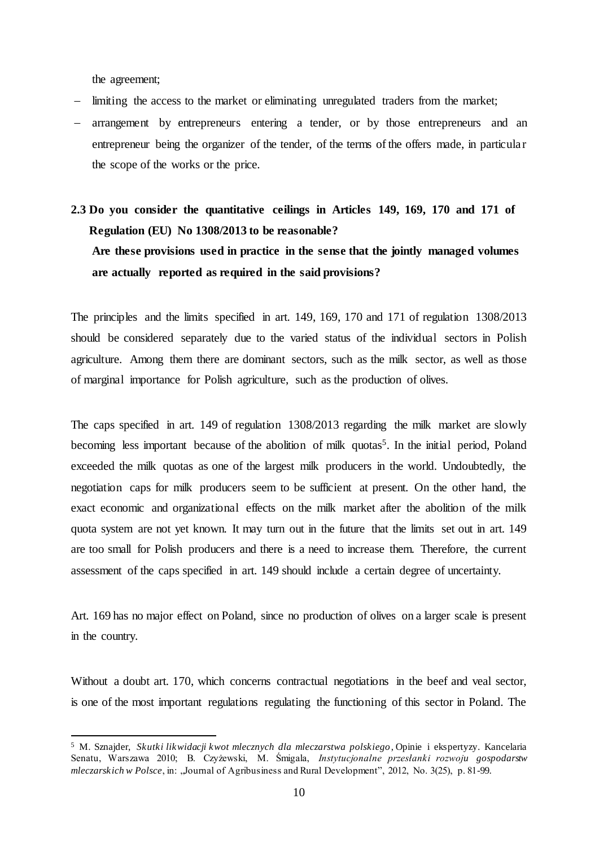the agreement;

 $\overline{a}$ 

- limiting the access to the market or eliminating unregulated traders from the market;
- arrangement by entrepreneurs entering a tender, or by those entrepreneurs and an entrepreneur being the organizer of the tender, of the terms of the offers made, in particular the scope of the works or the price.

# **2.3 Do you consider the quantitative ceilings in Articles 149, 169, 170 and 171 of Regulation (EU) No 1308/2013 to be reasonable? Are these provisions used in practice in the sense that the jointly managed volumes are actually reported as required in the said provisions?**

The principles and the limits specified in art. 149, 169, 170 and 171 of regulation 1308/2013 should be considered separately due to the varied status of the individual sectors in Polish agriculture. Among them there are dominant sectors, such as the milk sector, as well as those of marginal importance for Polish agriculture, such as the production of olives.

The caps specified in art. 149 of regulation 1308/2013 regarding the milk market are slowly becoming less important because of the abolition of milk quotas<sup>5</sup>. In the initial period, Poland exceeded the milk quotas as one of the largest milk producers in the world. Undoubtedly, the negotiation caps for milk producers seem to be sufficient at present. On the other hand, the exact economic and organizational effects on the milk market after the abolition of the milk quota system are not yet known. It may turn out in the future that the limits set out in art. 149 are too small for Polish producers and there is a need to increase them. Therefore, the current assessment of the caps specified in art. 149 should include a certain degree of uncertainty.

Art. 169 has no major effect on Poland, since no production of olives on a larger scale is present in the country.

Without a doubt art. 170, which concerns contractual negotiations in the beef and veal sector, is one of the most important regulations regulating the functioning of this sector in Poland. The

<sup>5</sup> M. Sznajder, *Skutki likwidacji kwot mlecznych dla mleczarstwa polskiego*, Opinie i ekspertyzy. Kancelaria Senatu, Warszawa 2010; B. Czyżewski, M. Śmigala, *Instytucjonalne przesłanki rozwoju gospodarstw mleczarskich w Polsce*, in: "Journal of Agribusiness and Rural Development", 2012, No. 3(25), p. 81-99.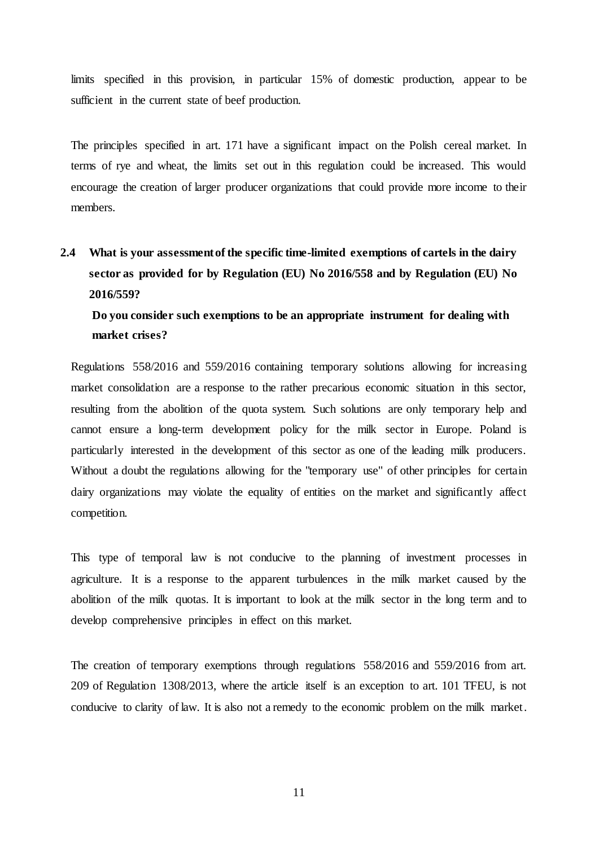limits specified in this provision, in particular 15% of domestic production, appear to be sufficient in the current state of beef production.

The principles specified in art. 171 have a significant impact on the Polish cereal market. In terms of rye and wheat, the limits set out in this regulation could be increased. This would encourage the creation of larger producer organizations that could provide more income to their members.

# **2.4 What is your assessmentof the specific time-limited exemptions of cartels in the dairy sector as provided for by Regulation (EU) No 2016/558 and by Regulation (EU) No 2016/559?**

## **Do you consider such exemptions to be an appropriate instrument for dealing with market crises?**

Regulations 558/2016 and 559/2016 containing temporary solutions allowing for increasing market consolidation are a response to the rather precarious economic situation in this sector, resulting from the abolition of the quota system. Such solutions are only temporary help and cannot ensure a long-term development policy for the milk sector in Europe. Poland is particularly interested in the development of this sector as one of the leading milk producers. Without a doubt the regulations allowing for the "temporary use" of other principles for certain dairy organizations may violate the equality of entities on the market and significantly affect competition.

This type of temporal law is not conducive to the planning of investment processes in agriculture. It is a response to the apparent turbulences in the milk market caused by the abolition of the milk quotas. It is important to look at the milk sector in the long term and to develop comprehensive principles in effect on this market.

The creation of temporary exemptions through regulations 558/2016 and 559/2016 from art. 209 of Regulation 1308/2013, where the article itself is an exception to art. 101 TFEU, is not conducive to clarity of law. It is also not a remedy to the economic problem on the milk market.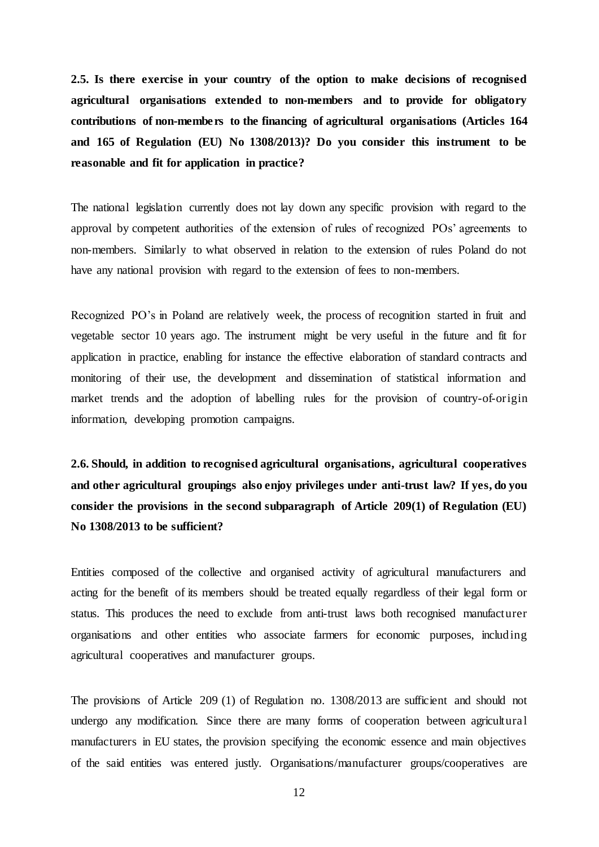**2.5. Is there exercise in your country of the option to make decisions of recognised agricultural organisations extended to non-members and to provide for obligatory contributions of non-members to the financing of agricultural organisations (Articles 164 and 165 of Regulation (EU) No 1308/2013)? Do you consider this instrument to be reasonable and fit for application in practice?**

The national legislation currently does not lay down any specific provision with regard to the approval by competent authorities of the extension of rules of recognized POs' agreements to non-members. Similarly to what observed in relation to the extension of rules Poland do not have any national provision with regard to the extension of fees to non-members.

Recognized PO's in Poland are relatively week, the process of recognition started in fruit and vegetable sector 10 years ago. The instrument might be very useful in the future and fit for application in practice, enabling for instance the effective elaboration of standard contracts and monitoring of their use, the development and dissemination of statistical information and market trends and the adoption of labelling rules for the provision of country-of-origin information, developing promotion campaigns.

**2.6. Should, in addition to recognised agricultural organisations, agricultural cooperatives and other agricultural groupings also enjoy privileges under anti-trust law? If yes, do you consider the provisions in the second subparagraph of Article 209(1) of Regulation (EU) No 1308/2013 to be sufficient?** 

Entities composed of the collective and organised activity of agricultural manufacturers and acting for the benefit of its members should be treated equally regardless of their legal form or status. This produces the need to exclude from anti-trust laws both recognised manufacturer organisations and other entities who associate farmers for economic purposes, including agricultural cooperatives and manufacturer groups.

The provisions of Article 209 (1) of Regulation no. 1308/2013 are sufficient and should not undergo any modification. Since there are many forms of cooperation between agricultural manufacturers in EU states, the provision specifying the economic essence and main objectives of the said entities was entered justly. Organisations/manufacturer groups/cooperatives are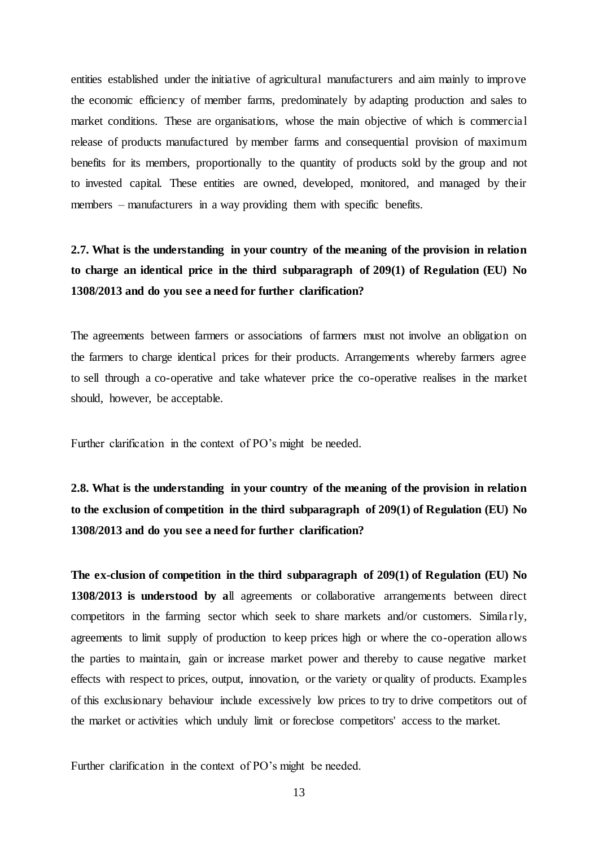entities established under the initiative of agricultural manufacturers and aim mainly to improve the economic efficiency of member farms, predominately by adapting production and sales to market conditions. These are organisations, whose the main objective of which is commercial release of products manufactured by member farms and consequential provision of maximum benefits for its members, proportionally to the quantity of products sold by the group and not to invested capital. These entities are owned, developed, monitored, and managed by their members – manufacturers in a way providing them with specific benefits.

**2.7. What is the understanding in your country of the meaning of the provision in relation to charge an identical price in the third subparagraph of 209(1) of Regulation (EU) No 1308/2013 and do you see a need for further clarification?** 

The agreements between farmers or associations of farmers must not involve an obligation on the farmers to charge identical prices for their products. Arrangements whereby farmers agree to sell through a co-operative and take whatever price the co-operative realises in the market should, however, be acceptable.

Further clarification in the context of PO's might be needed.

**2.8. What is the understanding in your country of the meaning of the provision in relation to the exclusion of competition in the third subparagraph of 209(1) of Regulation (EU) No 1308/2013 and do you see a need for further clarification?** 

**The ex-clusion of competition in the third subparagraph of 209(1) of Regulation (EU) No 1308/2013 is understood by a**ll agreements or collaborative arrangements between direct competitors in the farming sector which seek to share markets and/or customers. Similarly, agreements to limit supply of production to keep prices high or where the co-operation allows the parties to maintain, gain or increase market power and thereby to cause negative market effects with respect to prices, output, innovation, or the variety or quality of products. Examples of this exclusionary behaviour include excessively low prices to try to drive competitors out of the market or activities which unduly limit or foreclose competitors' access to the market.

Further clarification in the context of PO's might be needed.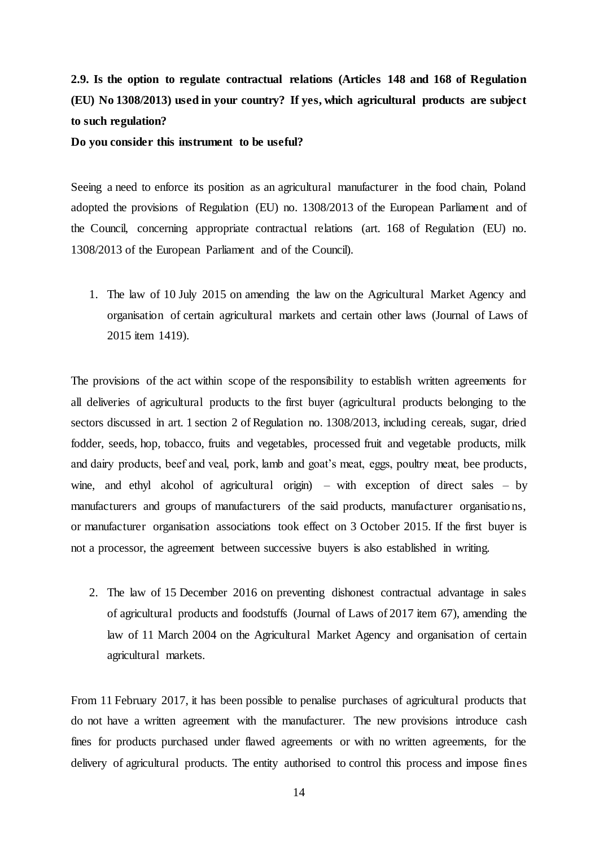# **2.9. Is the option to regulate contractual relations (Articles 148 and 168 of Regulation (EU) No 1308/2013) used in your country? If yes, which agricultural products are subject to such regulation?**

**Do you consider this instrument to be useful?**

Seeing a need to enforce its position as an agricultural manufacturer in the food chain, Poland adopted the provisions of Regulation (EU) no. 1308/2013 of the European Parliament and of the Council, concerning appropriate contractual relations (art. 168 of Regulation (EU) no. 1308/2013 of the European Parliament and of the Council).

1. The law of 10 July 2015 on amending the law on the Agricultural Market Agency and organisation of certain agricultural markets and certain other laws (Journal of Laws of 2015 item 1419).

The provisions of the act within scope of the responsibility to establish written agreements for all deliveries of agricultural products to the first buyer (agricultural products belonging to the sectors discussed in art. 1 section 2 of Regulation no. 1308/2013, including cereals, sugar, dried fodder, seeds, hop, tobacco, fruits and vegetables, processed fruit and vegetable products, milk and dairy products, beef and veal, pork, lamb and goat's meat, eggs, poultry meat, bee products, wine, and ethyl alcohol of agricultural origin) – with exception of direct sales – by manufacturers and groups of manufacturers of the said products, manufacturer organisations, or manufacturer organisation associations took effect on 3 October 2015. If the first buyer is not a processor, the agreement between successive buyers is also established in writing.

2. The law of 15 December 2016 on preventing dishonest contractual advantage in sales of agricultural products and foodstuffs (Journal of Laws of 2017 item 67), amending the law of 11 March 2004 on the Agricultural Market Agency and organisation of certain agricultural markets.

From 11 February 2017, it has been possible to penalise purchases of agricultural products that do not have a written agreement with the manufacturer. The new provisions introduce cash fines for products purchased under flawed agreements or with no written agreements, for the delivery of agricultural products. The entity authorised to control this process and impose fines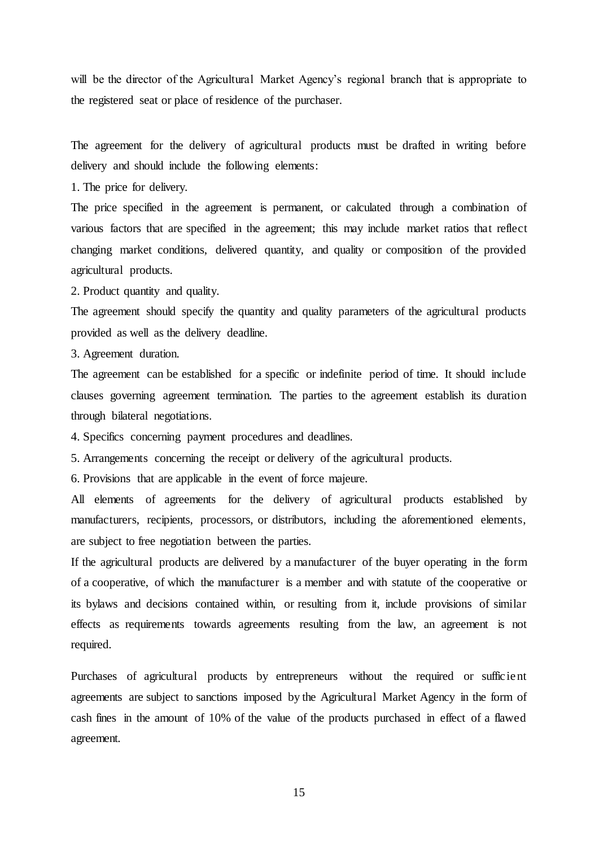will be the director of the Agricultural Market Agency's regional branch that is appropriate to the registered seat or place of residence of the purchaser.

The agreement for the delivery of agricultural products must be drafted in writing before delivery and should include the following elements:

1. The price for delivery.

The price specified in the agreement is permanent, or calculated through a combination of various factors that are specified in the agreement; this may include market ratios that reflect changing market conditions, delivered quantity, and quality or composition of the provided agricultural products.

2. Product quantity and quality.

The agreement should specify the quantity and quality parameters of the agricultural products provided as well as the delivery deadline.

3. Agreement duration.

The agreement can be established for a specific or indefinite period of time. It should include clauses governing agreement termination. The parties to the agreement establish its duration through bilateral negotiations.

4. Specifics concerning payment procedures and deadlines.

5. Arrangements concerning the receipt or delivery of the agricultural products.

6. Provisions that are applicable in the event of force majeure.

All elements of agreements for the delivery of agricultural products established by manufacturers, recipients, processors, or distributors, including the aforementioned elements, are subject to free negotiation between the parties.

If the agricultural products are delivered by a manufacturer of the buyer operating in the form of a cooperative, of which the manufacturer is a member and with statute of the cooperative or its bylaws and decisions contained within, or resulting from it, include provisions of similar effects as requirements towards agreements resulting from the law, an agreement is not required.

Purchases of agricultural products by entrepreneurs without the required or sufficient agreements are subject to sanctions imposed by the Agricultural Market Agency in the form of cash fines in the amount of 10% of the value of the products purchased in effect of a flawed agreement.

15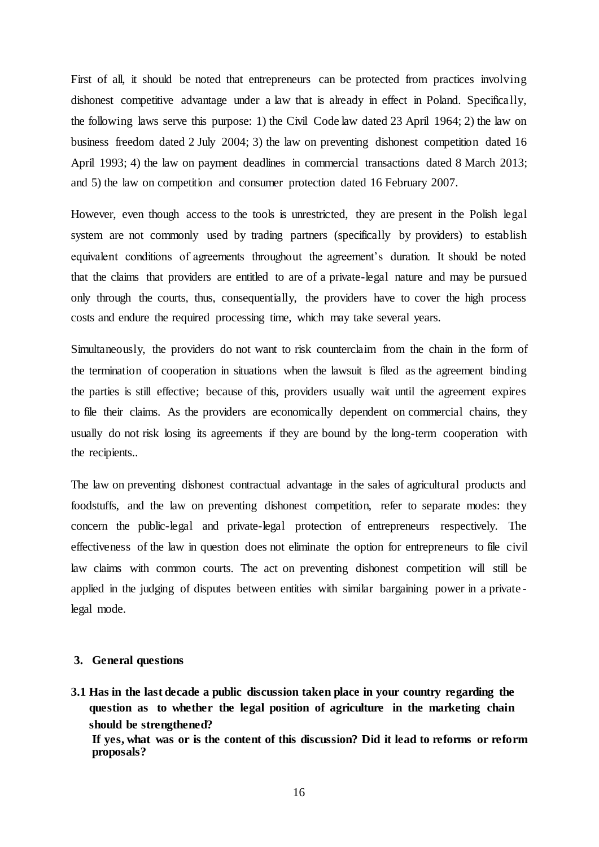First of all, it should be noted that entrepreneurs can be protected from practices involving dishonest competitive advantage under a law that is already in effect in Poland. Specifically, the following laws serve this purpose: 1) the Civil Code law dated 23 April 1964; 2) the law on business freedom dated 2 July 2004; 3) the law on preventing dishonest competition dated 16 April 1993; 4) the law on payment deadlines in commercial transactions dated 8 March 2013; and 5) the law on competition and consumer protection dated 16 February 2007.

However, even though access to the tools is unrestricted, they are present in the Polish legal system are not commonly used by trading partners (specifically by providers) to establish equivalent conditions of agreements throughout the agreement's duration. It should be noted that the claims that providers are entitled to are of a private-legal nature and may be pursued only through the courts, thus, consequentially, the providers have to cover the high process costs and endure the required processing time, which may take several years.

Simultaneously, the providers do not want to risk counterclaim from the chain in the form of the termination of cooperation in situations when the lawsuit is filed as the agreement binding the parties is still effective; because of this, providers usually wait until the agreement expires to file their claims. As the providers are economically dependent on commercial chains, they usually do not risk losing its agreements if they are bound by the long-term cooperation with the recipients..

The law on preventing dishonest contractual advantage in the sales of agricultural products and foodstuffs, and the law on preventing dishonest competition, refer to separate modes: they concern the public-legal and private-legal protection of entrepreneurs respectively. The effectiveness of the law in question does not eliminate the option for entrepreneurs to file civil law claims with common courts. The act on preventing dishonest competition will still be applied in the judging of disputes between entities with similar bargaining power in a private legal mode.

#### **3. General questions**

**3.1 Has in the last decade a public discussion taken place in your country regarding the question as to whether the legal position of agriculture in the marketing chain should be strengthened?**

**If yes, what was or is the content of this discussion? Did it lead to reforms or reform proposals?**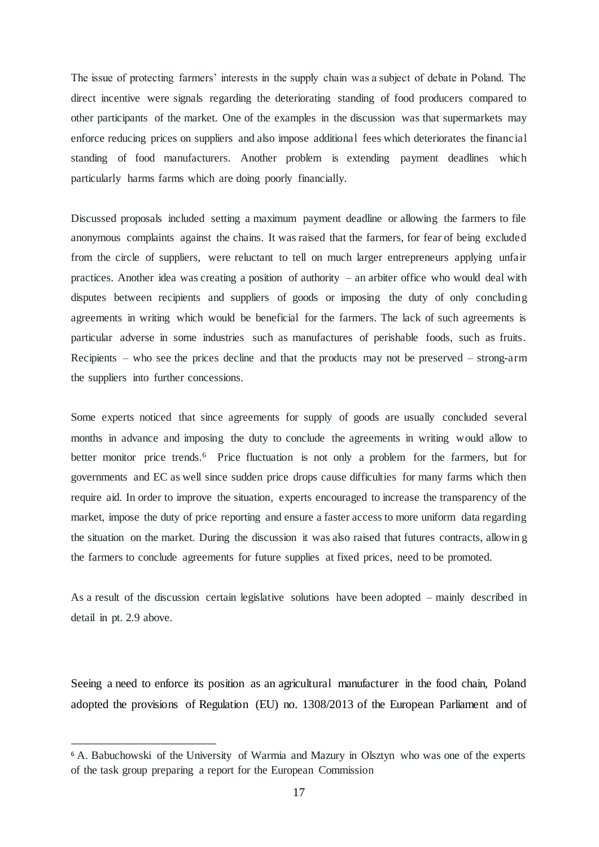The issue of protecting farmers' interests in the supply chain was a subject of debate in Poland. The direct incentive were signals regarding the deteriorating standing of food producers compared to other participants of the market. One of the examples in the discussion was that supermarkets may enforce reducing prices on suppliers and also impose additional fees which deteriorates the financial standing of food manufacturers. Another problem is extending payment deadlines which particularly harms farms which are doing poorly financially.

Discussed proposals included setting a maximum payment deadline or allowing the farmers to file anonymous complaints against the chains. It was raised that the farmers, for fear of being excluded from the circle of suppliers, were reluctant to tell on much larger entrepreneurs applying unfair practices. Another idea was creating a position of authority – an arbiter office who would deal with disputes between recipients and suppliers of goods or imposing the duty of only concluding agreements in writing which would be beneficial for the farmers. The lack of such agreements is particular adverse in some industries such as manufactures of perishable foods, such as fruits. Recipients – who see the prices decline and that the products may not be preserved – strong-arm the suppliers into further concessions.

Some experts noticed that since agreements for supply of goods are usually concluded several months in advance and imposing the duty to conclude the agreements in writing would allow to better monitor price trends.<sup>6</sup> Price fluctuation is not only a problem for the farmers, but for governments and EC as well since sudden price drops cause difficulties for many farms which then require aid. In order to improve the situation, experts encouraged to increase the transparency of the market, impose the duty of price reporting and ensure a faster access to more uniform data regarding the situation on the market. During the discussion it was also raised that futures contracts, allowin g the farmers to conclude agreements for future supplies at fixed prices, need to be promoted.

As a result of the discussion certain legislative solutions have been adopted – mainly described in detail in pt. 2.9 above.

Seeing a need to enforce its position as an agricultural manufacturer in the food chain, Poland adopted the provisions of Regulation (EU) no. 1308/2013 of the European Parliament and of

 $\overline{a}$ 

<sup>6</sup> A. Babuchowski of the University of Warmia and Mazury in Olsztyn who was one of the experts of the task group preparing a report for the European Commission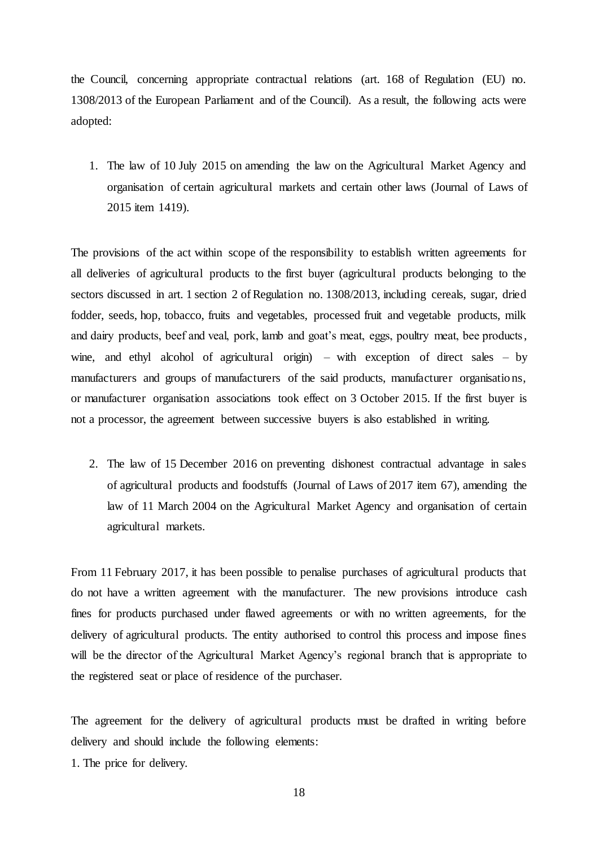the Council, concerning appropriate contractual relations (art. 168 of Regulation (EU) no. 1308/2013 of the European Parliament and of the Council). As a result, the following acts were adopted:

1. The law of 10 July 2015 on amending the law on the Agricultural Market Agency and organisation of certain agricultural markets and certain other laws (Journal of Laws of 2015 item 1419).

The provisions of the act within scope of the responsibility to establish written agreements for all deliveries of agricultural products to the first buyer (agricultural products belonging to the sectors discussed in art. 1 section 2 of Regulation no. 1308/2013, including cereals, sugar, dried fodder, seeds, hop, tobacco, fruits and vegetables, processed fruit and vegetable products, milk and dairy products, beef and veal, pork, lamb and goat's meat, eggs, poultry meat, bee products, wine, and ethyl alcohol of agricultural origin) – with exception of direct sales – by manufacturers and groups of manufacturers of the said products, manufacturer organisations, or manufacturer organisation associations took effect on 3 October 2015. If the first buyer is not a processor, the agreement between successive buyers is also established in writing.

2. The law of 15 December 2016 on preventing dishonest contractual advantage in sales of agricultural products and foodstuffs (Journal of Laws of 2017 item 67), amending the law of 11 March 2004 on the Agricultural Market Agency and organisation of certain agricultural markets.

From 11 February 2017, it has been possible to penalise purchases of agricultural products that do not have a written agreement with the manufacturer. The new provisions introduce cash fines for products purchased under flawed agreements or with no written agreements, for the delivery of agricultural products. The entity authorised to control this process and impose fines will be the director of the Agricultural Market Agency's regional branch that is appropriate to the registered seat or place of residence of the purchaser.

The agreement for the delivery of agricultural products must be drafted in writing before delivery and should include the following elements:

1. The price for delivery.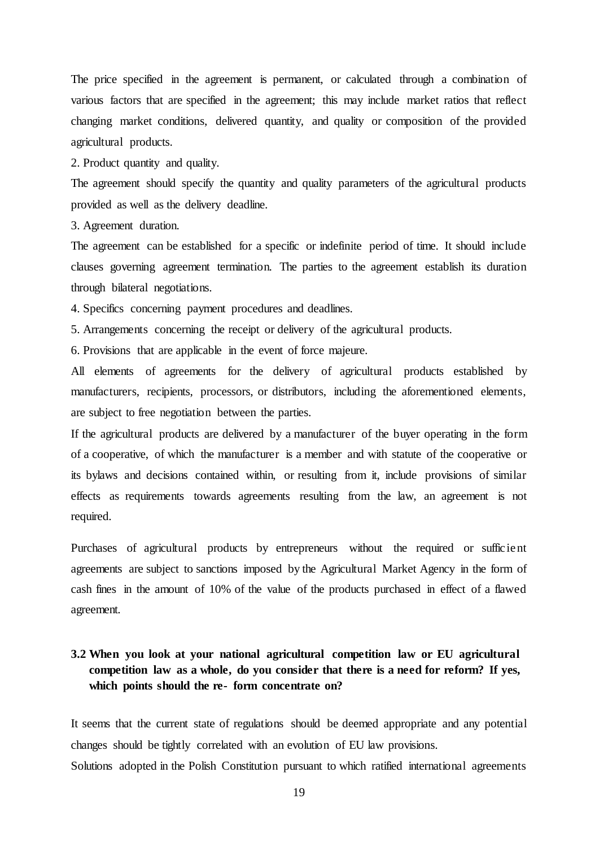The price specified in the agreement is permanent, or calculated through a combination of various factors that are specified in the agreement; this may include market ratios that reflect changing market conditions, delivered quantity, and quality or composition of the provided agricultural products.

2. Product quantity and quality.

The agreement should specify the quantity and quality parameters of the agricultural products provided as well as the delivery deadline.

3. Agreement duration.

The agreement can be established for a specific or indefinite period of time. It should include clauses governing agreement termination. The parties to the agreement establish its duration through bilateral negotiations.

4. Specifics concerning payment procedures and deadlines.

5. Arrangements concerning the receipt or delivery of the agricultural products.

6. Provisions that are applicable in the event of force majeure.

All elements of agreements for the delivery of agricultural products established by manufacturers, recipients, processors, or distributors, including the aforementioned elements, are subject to free negotiation between the parties.

If the agricultural products are delivered by a manufacturer of the buyer operating in the form of a cooperative, of which the manufacturer is a member and with statute of the cooperative or its bylaws and decisions contained within, or resulting from it, include provisions of similar effects as requirements towards agreements resulting from the law, an agreement is not required.

Purchases of agricultural products by entrepreneurs without the required or sufficient agreements are subject to sanctions imposed by the Agricultural Market Agency in the form of cash fines in the amount of 10% of the value of the products purchased in effect of a flawed agreement.

## **3.2 When you look at your national agricultural competition law or EU agricultural competition law as a whole, do you consider that there is a need for reform? If yes, which points should the re- form concentrate on?**

It seems that the current state of regulations should be deemed appropriate and any potential changes should be tightly correlated with an evolution of EU law provisions.

Solutions adopted in the Polish Constitution pursuant to which ratified international agreements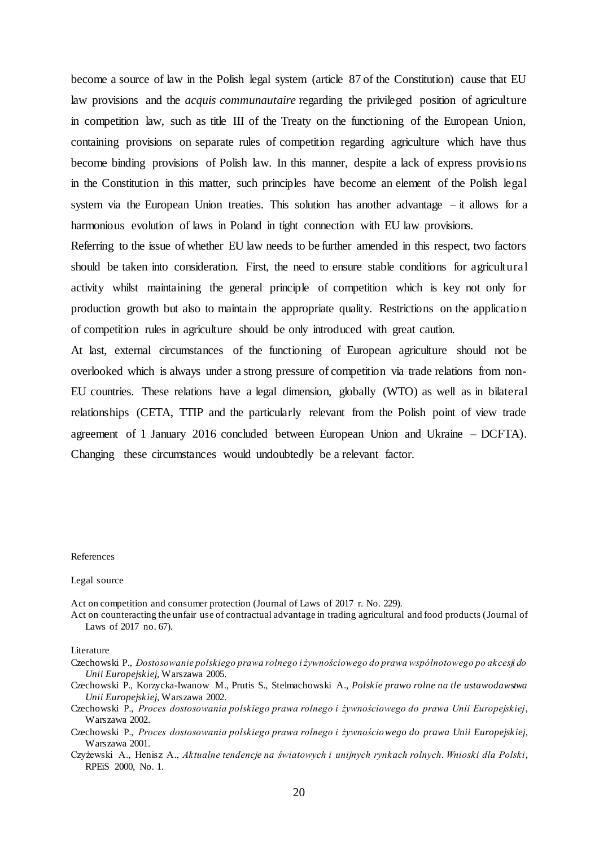become a source of law in the Polish legal system (article 87 of the Constitution) cause that EU law provisions and the *acquis communautaire* regarding the privileged position of agriculture in competition law, such as title III of the Treaty on the functioning of the European Union, containing provisions on separate rules of competition regarding agriculture which have thus become binding provisions of Polish law. In this manner, despite a lack of express provisions in the Constitution in this matter, such principles have become an element of the Polish legal system via the European Union treaties. This solution has another advantage – it allows for a harmonious evolution of laws in Poland in tight connection with EU law provisions.

Referring to the issue of whether EU law needs to be further amended in this respect, two factors should be taken into consideration. First, the need to ensure stable conditions for agricultural activity whilst maintaining the general principle of competition which is key not only for production growth but also to maintain the appropriate quality. Restrictions on the application of competition rules in agriculture should be only introduced with great caution.

At last, external circumstances of the functioning of European agriculture should not be overlooked which is always under a strong pressure of competition via trade relations from non-EU countries. These relations have a legal dimension, globally (WTO) as well as in bilateral relationships (CETA, TTIP and the particularly relevant from the Polish point of view trade agreement of 1 January 2016 concluded between European Union and Ukraine – DCFTA). Changing these circumstances would undoubtedly be a relevant factor.

#### References

#### Legal source

Act on competition and consumer protection (Journal of Laws of 2017 r. No. 229).

Act on counteracting the unfair use of contractual advantage in trading agricultural and food products (Journal of Laws of 2017 no. 67).

**Literature** 

- Czechowski P., *Dostosowanie polskiego prawa rolnego i żywnościowego do prawa wspólnotowego po akcesji do Unii Europejskiej*, Warszawa 2005.
- Czechowski P., Korzycka-Iwanow M., Prutis S., Stelmachowski A., *Polskie prawo rolne na tle ustawodawstwa Unii Europejskiej*, Warszawa 2002.
- Czechowski P., *Proces dostosowania polskiego prawa rolnego i żywnościowego do prawa Unii Europejskiej*, Warszawa 2002.
- Czechowski P., *Proces dostosowania polskiego prawa rolnego i żywnościowego do prawa Unii Europejskiej*, Warszawa 2001.
- Czyżewski A., Henisz A., *Aktualne tendencje na światowych i unijnych rynkach rolnych. Wnioski dla Polski*, RPEiS 2000, No. 1.